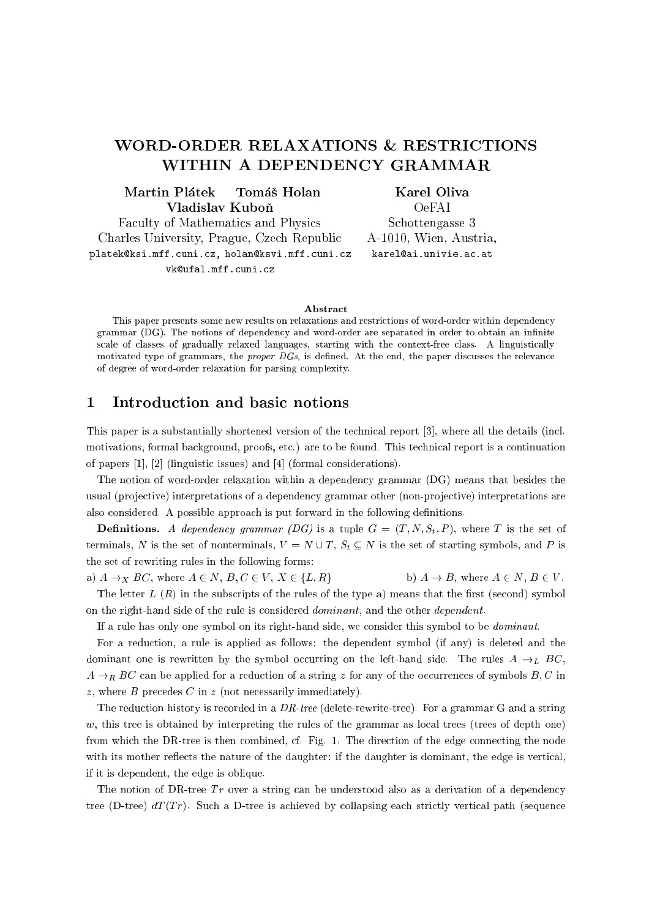# WORD-ORDER RELAXATIONS & RESTRICTIONS WITHIN A DEPENDENCY GRAMMAR

#### Martin Plátek Tomáš Holan Vladislav Kubon

Karel Oliva

Faculty of Mathematics and Physics Charles University, Prague, Cze
h Republi platek@ksi.mff.cuni.cz, holan@ksvi.mff.cuni.cz vk@ufal.mff.cuni.cz

OeFAI S
hottengasse 3 A-1010, Wien, Austria, karel@ai.univie.ac.at

#### **Abstract**

This paper presents some new results on relaxations and restrictions of word-order within dependency grammar (DG). The notions of dependency and word-order are separated in order to obtain an infinite scale of classes of gradually relaxed languages, starting with the context-free class. A linguistically motivated type of grammars, the *proper DGs*, is defined. At the end, the paper discusses the relevance of degree of word-order relaxation for parsing omplexity.

## 1 Introdu
tion and basi notions

This paper is a substantially shortened version of the technical report [3], where all the details (incl. motivations, formal background, proofs, etc.) are to be found. This technical report is a continuation of papers  $[1]$ ,  $[2]$  (linguistic issues) and  $[4]$  (formal considerations).

The notion of word-order relaxation within a dependency grammar (DG) means that besides the usual (projective) interpretations of a dependency grammar other (non-projective) interpretations are also considered. A possible approach is put forward in the following definitions.

**Definitions.** A dependency grammar (DG) is a tuple  $G = (T, N, S_t, P)$ , where T is the set of terminals, N is the set of nonterminals,  $V = N \cup T$ ,  $S_t \subseteq N$  is the set of starting symbols, and P is the set of rewriting rules in the following forms:

a)  $A \rightarrow_X BC$ , where  $A \in N$ ,  $B, C \in V$ ,  $X \in \{L, R\}$  b)  $A \rightarrow B$ , where  $A \in N$ ,  $B \in V$ . The letter  $L(R)$  in the subscripts of the rules of the type a) means that the first (second) symbol

on the right-hand side of the rule is considered *dominant*, and the other *dependent*. If a rule has only one symbol on its right-hand side, we onsider this symbol to be dominant.

For a reduction, a rule is applied as follows: the dependent symbol (if any) is deleted and the dominant one is rewritten by the symbol occurring on the left-hand side. The rules  $A \rightarrow_L BC$ ,  $A \rightarrow_R BC$  can be applied for a reduction of a string z for any of the occurrences of symbols B, C in z, where  $B$  precedes  $C$  in  $z$  (not necessarily immediately).

The reduction history is recorded in a DR-tree (delete-rewrite-tree). For a grammar G and a string  $w$ , this tree is obtained by interpreting the rules of the grammar as local trees (trees of depth one) from which the DR-tree is then combined, cf. Fig. 1. The direction of the edge connecting the node with its mother reflects the nature of the daughter: if the daughter is dominant, the edge is vertical, if it is dependent, the edge is oblique.

The notion of DR-tree  $Tr$  over a string can be understood also as a derivation of a dependency tree (D-tree)  $dT(Tr)$ . Such a D-tree is achieved by collapsing each strictly vertical path (sequence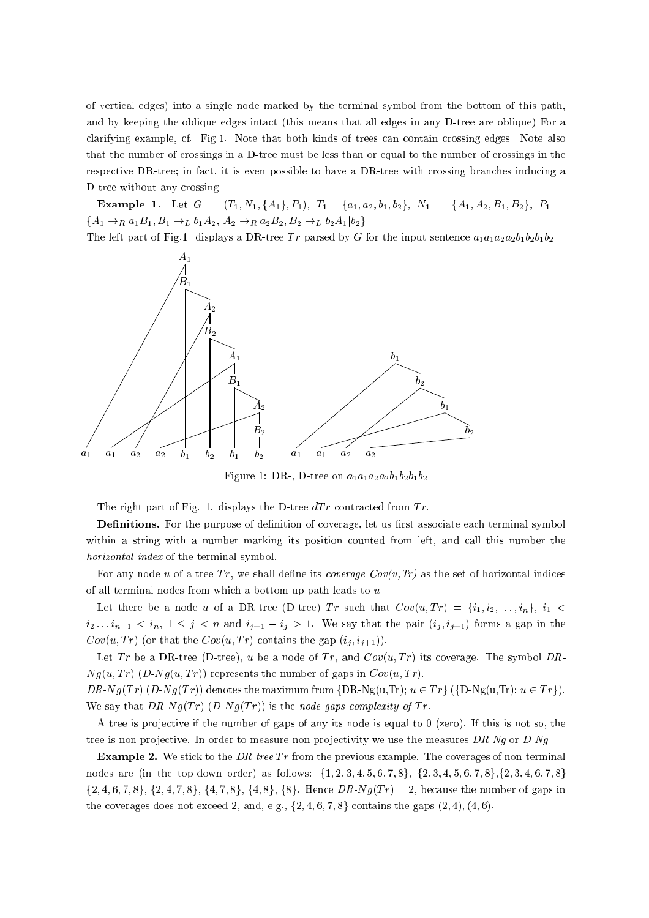of verti
al edges) into a single node marked by the terminal symbol from the bottom of this path, and by keeping the oblique edges inta
t (this means that all edges in any D-tree are oblique) For a clarifying example, cf. Fig.1. Note that both kinds of trees can contain crossing edges. Note also that the number of crossings in a D-tree must be less than or equal to the number of crossings in the respective DR-tree; in fact, it is even possible to have a DR-tree with crossing branches inducing a D-tree without any crossing.

Example 1. Let  $G = (T_1, N_1, \{A_1\}, P_1), T_1 = \{a_1, a_2, b_1, b_2\}, N_1 = \{A_1, A_2, B_1, B_2\}, P_1 =$  ${A_1 \rightarrow_R a_1B_1, B_1 \rightarrow_L b_1A_2, A_2 \rightarrow_R a_2B_2, B_2 \rightarrow_L b_2A_1|b_2}.$ 

The left part of Fig.1. displays a DR-tree Tr parsed by G for the input sentence  $a_1a_1a_2a_2b_1b_2b_1b_2$ .



Figure 1: DR-, D-tree on  $a_1a_1a_2a_2b_1b_2b_1b_2$ 

The right part of Fig. 1. displays the D-tree  $dT r$  contracted from  $Tr$ .

**Definitions.** For the purpose of definition of coverage, let us first associate each terminal symbol within a string with a number marking its position counted from left, and call this number the horizontal index of the terminal symbol.

For any node u of a tree Tr, we shall define its *coverage Cov* $(u, Tr)$  as the set of horizontal indices of all terminal nodes from which a bottom-up path leads to  $u$ .

Let there be a node u of a DR-tree (D-tree) Tr such that  $Cov(u, Tr) = \{i_1, i_2, \ldots, i_n\}, i_1$  $i_2 \ldots i_{n-1} < i_n$ ,  $1 \leq j \leq n$  and  $i_{j+1} - i_j > 1$ . We say that the pair  $(i_j, i_{j+1})$  forms a gap in the  $Cov(u, Tr)$  (or that the  $Cov(u, Tr)$  contains the gap  $(i_i, i_{i+1})$ ).

Let Tr be a DR-tree (D-tree), u be a node of Tr, and  $Cov(u, Tr)$  its coverage. The symbol DR- $Ng(u, Tr)$   $(D-Ng(u, Tr))$  represents the number of gaps in  $Cov(u, Tr)$ .

 $DR-Ng(Tr)$   $(D-Ng(Tr))$  denotes the maximum from  $\{DR-Ng(u,Tr); u \in Tr\}$   $(\{D-Ng(u,Tr); u \in Tr\})$ . We say that  $DR-Ng(Tr)$   $(D-Ng(Tr))$  is the node-gaps complexity of Tr.

A tree is projective if the number of gaps of any its node is equal to  $0$  (zero). If this is not so, the tree is non-projective. In order to measure non-projectivity we use the measures  $DR-Ng$  or  $D-Ng$ .

**Example 2.** We stick to the *DR-tree*  $Tr$  from the previous example. The coverages of non-terminal nodes are (in the top-down order) as follows:  $\{1, 2, 3, 4, 5, 6, 7, 8\}, \{2, 3, 4, 5, 6, 7, 8\}, \{2, 3, 4, 6, 7, 8\}$  $\{2, 4, 6, 7, 8\}, \{2, 4, 7, 8\}, \{4, 7, 8\}, \{4, 8\}, \{8\}.$  Hence  $DR-Ng(Tr) = 2$ , because the number of gaps in the coverages does not exceed 2, and, e.g.,  $\{2, 4, 6, 7, 8\}$  contains the gaps  $(2, 4), (4, 6)$ .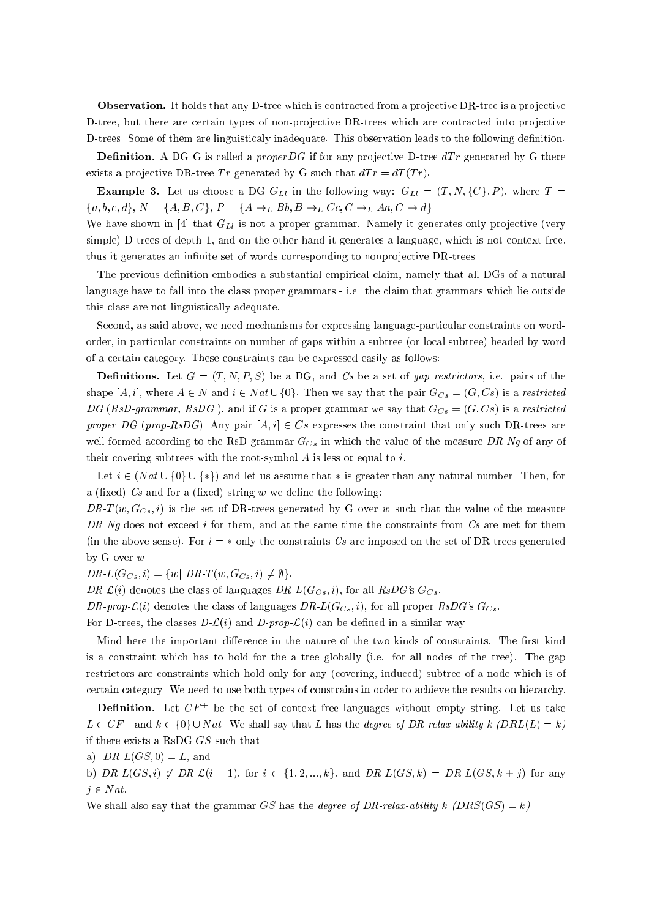Observation. It holds that any D-tree which is contracted from a projective DR-tree is a projective D-tree, but there are certain types of non-projective DR-trees which are contracted into projective D-trees. Some of them are linguisticaly inadequate. This observation leads to the following definition.

**Definition.** A DG G is called a *proper DG* if for any projective D-tree  $dTr$  generated by G there exists a projective DR-tree Tr generated by G such that  $dTr = dT(Tr)$ .

**Example 3.** Let us choose a DG  $G_{Ll}$  in the following way:  $G_{Ll} = (T, N, \{C\}, P)$ , where  $T =$  ${a, b, c, d}, N = {A, B, C}, P = {A \rightarrow_L Bb, B \rightarrow_L Cc, C \rightarrow_L Aa, C \rightarrow d}.$ 

We have shown in [4] that  $G_{Ll}$  is not a proper grammar. Namely it generates only projective (very simple) D-trees of depth 1, and on the other hand it generates a language, which is not context-free, thus it generates an infinite set of words corresponding to nonprojective DR-trees.

The previous definition embodies a substantial empirical claim, namely that all DGs of a natural language have to fall into the class proper grammars - i.e. the claim that grammars which lie outside this lass are not linguisti
ally adequate.

Second, as said above, we need mechanisms for expressing language-particular constraints on wordorder, in parti
ular onstraints on number of gaps within a subtree (or lo
al subtree) headed by word of a ertain ategory. These onstraints an be expressed easily as follows:

**Definitions.** Let  $G = (T, N, P, S)$  be a DG, and Cs be a set of *qap restrictors*, i.e. pairs of the shape [A, i], where  $A \in N$  and  $i \in Nat \cup \{0\}$ . Then we say that the pair  $G_{Cs} = (G, Cs)$  is a restricted DG (RsD-grammar, RsDG), and if G is a proper grammar we say that  $G_{Cs} = (G, Cs)$  is a restricted proper DG (prop-RsDG). Any pair  $[A, i] \in Cs$  expresses the constraint that only such DR-trees are well-formed according to the RsD-grammar  $G_{Cs}$  in which the value of the measure DR-Ng of any of their covering subtrees with the root-symbol  $A$  is less or equal to  $i$ .

Let  $i \in (Nat \cup \{0\} \cup \{*\})$  and let us assume that  $*$  is greater than any natural number. Then, for a (fixed)  $Cs$  and for a (fixed) string w we define the following:

DR-T(w,  $G_{Cs}$ , i) is the set of DR-trees generated by G over w such that the value of the measure  $DR-Ng$  does not exceed i for them, and at the same time the constraints from  $Cs$  are met for them (in the above sense). For  $i = *$  only the constraints Cs are imposed on the set of DR-trees generated by G over w.

 $DR-L(G_{Cs}, i) = \{w \mid DR\text{-}T(w, G_{Cs}, i) \neq \emptyset\}.$ 

DR- $\mathcal{L}(i)$  denotes the class of languages DR- $L(G_{Cs}, i)$ , for all RsDG's  $G_{Cs}$ .

DR-prop- $\mathcal{L}(i)$  denotes the class of languages DR- $L(G_{CS}, i)$ , for all proper RsDG's  $G_{CS}$ .

For D-trees, the classes  $D-\mathcal{L}(i)$  and D-prop- $\mathcal{L}(i)$  can be defined in a similar way.

Mind here the important difference in the nature of the two kinds of constraints. The first kind is a onstraint whi
h has to hold for the a tree globally (i.e. for all nodes of the tree). The gap restrictors are constraints which hold only for any (covering, induced) subtree of a node which is of certain category. We need to use both types of constrains in order to achieve the results on hierarchy.

**Demition.** Let  $\cup$   $F$  + be the set of context free languages without empty string. Let us take  $L \in \bigcup_{L \in \mathcal{L}} L$  and  $K \in \{0\} \cup N$  at. We shall say that L has the degree of DR-relax-ability k  $(DRL(L) = K)$ if there exists a RsDG GS su
h that

a) 
$$
DR-L(GS, 0) = L
$$
, and

b)  $DR-L(GS, i) \notin DR-L(i - 1)$ , for  $i \in \{1, 2, ..., k\}$ , and  $DR-L(GS, k) = DR-L(GS, k + j)$  for any  $j \in Nat$ .

We shall also say that the grammar GS has the degree of DR-relax-ability k  $(DRS(GS) = k)$ .